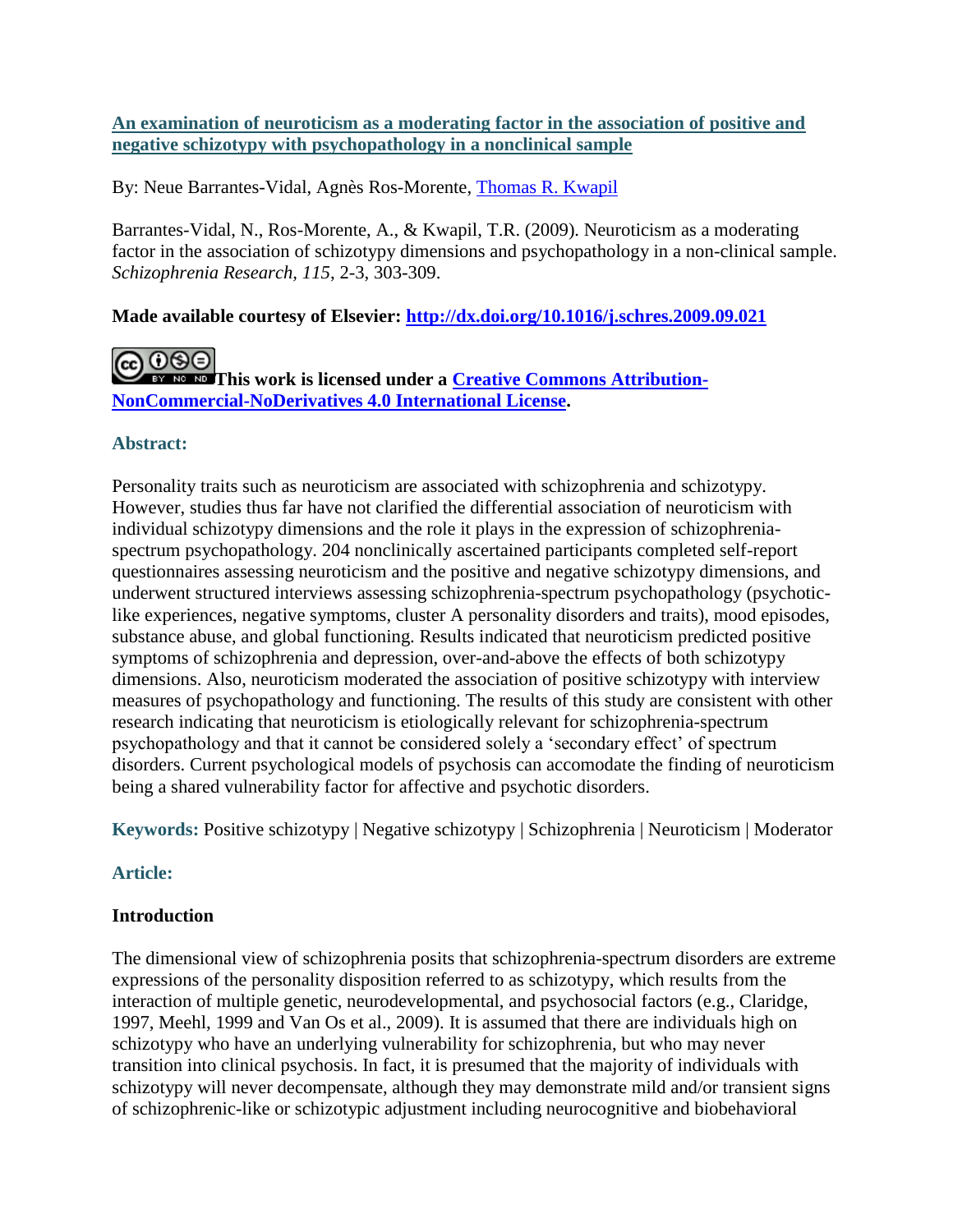#### **An examination of neuroticism as a moderating factor in the association of positive and negative schizotypy with psychopathology in a nonclinical sample**

By: Neue Barrantes-Vidal, Agnès Ros-Morente, [Thomas R. Kwapil](http://libres.uncg.edu/ir/uncg/clist.aspx?id=661)

Barrantes-Vidal, N., Ros-Morente, A., & Kwapil, T.R. (2009). Neuroticism as a moderating factor in the association of schizotypy dimensions and psychopathology in a non-clinical sample. *Schizophrenia Research, 115*, 2-3, 303-309.

**Made available courtesy of Elsevier:<http://dx.doi.org/10.1016/j.schres.2009.09.021>**

# ക⊙®ി

**EXT NO NO This work is licensed under a [Creative Commons Attribution-](http://creativecommons.org/licenses/by-nc-nd/4.0/)[NonCommercial-NoDerivatives 4.0 International License.](http://creativecommons.org/licenses/by-nc-nd/4.0/)**

### **Abstract:**

Personality traits such as neuroticism are associated with schizophrenia and schizotypy. However, studies thus far have not clarified the differential association of neuroticism with individual schizotypy dimensions and the role it plays in the expression of schizophreniaspectrum psychopathology. 204 nonclinically ascertained participants completed self-report questionnaires assessing neuroticism and the positive and negative schizotypy dimensions, and underwent structured interviews assessing schizophrenia-spectrum psychopathology (psychoticlike experiences, negative symptoms, cluster A personality disorders and traits), mood episodes, substance abuse, and global functioning. Results indicated that neuroticism predicted positive symptoms of schizophrenia and depression, over-and-above the effects of both schizotypy dimensions. Also, neuroticism moderated the association of positive schizotypy with interview measures of psychopathology and functioning. The results of this study are consistent with other research indicating that neuroticism is etiologically relevant for schizophrenia-spectrum psychopathology and that it cannot be considered solely a 'secondary effect' of spectrum disorders. Current psychological models of psychosis can accomodate the finding of neuroticism being a shared vulnerability factor for affective and psychotic disorders.

**Keywords:** Positive schizotypy | Negative schizotypy | Schizophrenia | Neuroticism | Moderator

# **Article:**

### **Introduction**

The dimensional view of schizophrenia posits that schizophrenia-spectrum disorders are extreme expressions of the personality disposition referred to as schizotypy, which results from the interaction of multiple genetic, neurodevelopmental, and psychosocial factors (e.g., Claridge, 1997, Meehl, 1999 and Van Os et al., 2009). It is assumed that there are individuals high on schizotypy who have an underlying vulnerability for schizophrenia, but who may never transition into clinical psychosis. In fact, it is presumed that the majority of individuals with schizotypy will never decompensate, although they may demonstrate mild and/or transient signs of schizophrenic-like or schizotypic adjustment including neurocognitive and biobehavioral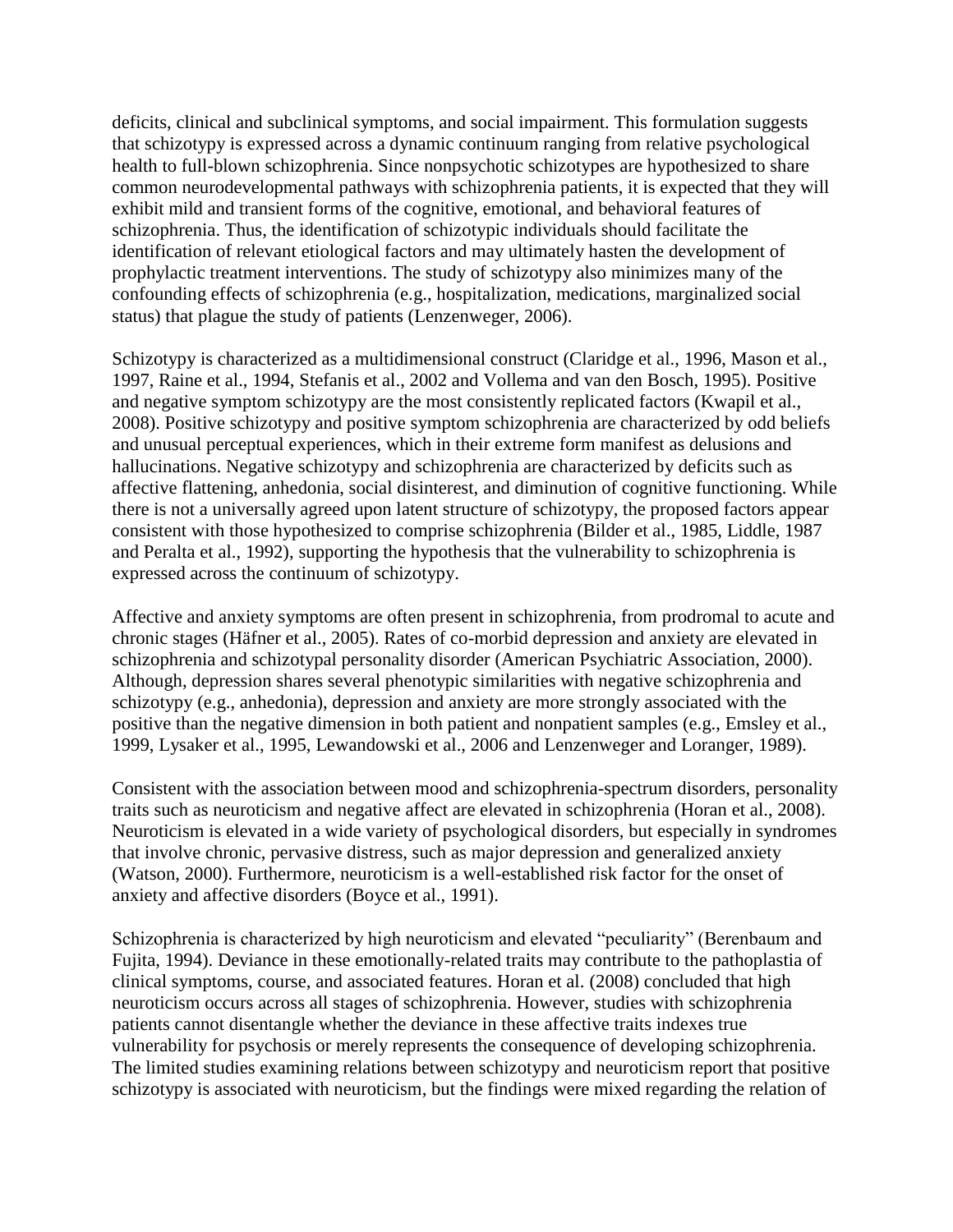deficits, clinical and subclinical symptoms, and social impairment. This formulation suggests that schizotypy is expressed across a dynamic continuum ranging from relative psychological health to full-blown schizophrenia. Since nonpsychotic schizotypes are hypothesized to share common neurodevelopmental pathways with schizophrenia patients, it is expected that they will exhibit mild and transient forms of the cognitive, emotional, and behavioral features of schizophrenia. Thus, the identification of schizotypic individuals should facilitate the identification of relevant etiological factors and may ultimately hasten the development of prophylactic treatment interventions. The study of schizotypy also minimizes many of the confounding effects of schizophrenia (e.g., hospitalization, medications, marginalized social status) that plague the study of patients (Lenzenweger, 2006).

Schizotypy is characterized as a multidimensional construct (Claridge et al., 1996, Mason et al., 1997, Raine et al., 1994, Stefanis et al., 2002 and Vollema and van den Bosch, 1995). Positive and negative symptom schizotypy are the most consistently replicated factors (Kwapil et al., 2008). Positive schizotypy and positive symptom schizophrenia are characterized by odd beliefs and unusual perceptual experiences, which in their extreme form manifest as delusions and hallucinations. Negative schizotypy and schizophrenia are characterized by deficits such as affective flattening, anhedonia, social disinterest, and diminution of cognitive functioning. While there is not a universally agreed upon latent structure of schizotypy, the proposed factors appear consistent with those hypothesized to comprise schizophrenia (Bilder et al., 1985, Liddle, 1987 and Peralta et al., 1992), supporting the hypothesis that the vulnerability to schizophrenia is expressed across the continuum of schizotypy.

Affective and anxiety symptoms are often present in schizophrenia, from prodromal to acute and chronic stages (Häfner et al., 2005). Rates of co-morbid depression and anxiety are elevated in schizophrenia and schizotypal personality disorder (American Psychiatric Association, 2000). Although, depression shares several phenotypic similarities with negative schizophrenia and schizotypy (e.g., anhedonia), depression and anxiety are more strongly associated with the positive than the negative dimension in both patient and nonpatient samples (e.g., Emsley et al., 1999, Lysaker et al., 1995, Lewandowski et al., 2006 and Lenzenweger and Loranger, 1989).

Consistent with the association between mood and schizophrenia-spectrum disorders, personality traits such as neuroticism and negative affect are elevated in schizophrenia (Horan et al., 2008). Neuroticism is elevated in a wide variety of psychological disorders, but especially in syndromes that involve chronic, pervasive distress, such as major depression and generalized anxiety (Watson, 2000). Furthermore, neuroticism is a well-established risk factor for the onset of anxiety and affective disorders (Boyce et al., 1991).

Schizophrenia is characterized by high neuroticism and elevated "peculiarity" (Berenbaum and Fujita, 1994). Deviance in these emotionally-related traits may contribute to the pathoplastia of clinical symptoms, course, and associated features. Horan et al. (2008) concluded that high neuroticism occurs across all stages of schizophrenia. However, studies with schizophrenia patients cannot disentangle whether the deviance in these affective traits indexes true vulnerability for psychosis or merely represents the consequence of developing schizophrenia. The limited studies examining relations between schizotypy and neuroticism report that positive schizotypy is associated with neuroticism, but the findings were mixed regarding the relation of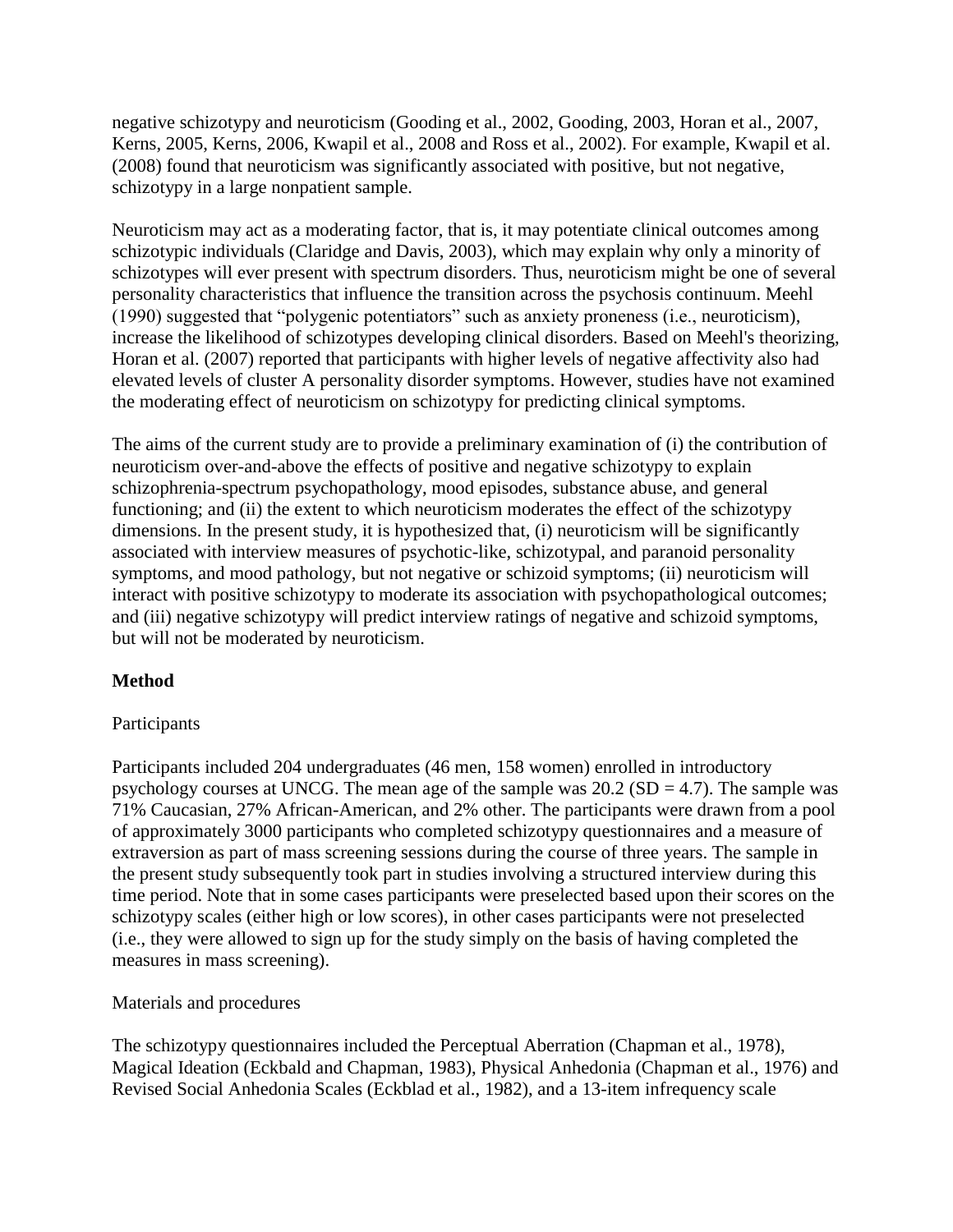negative schizotypy and neuroticism (Gooding et al., 2002, Gooding, 2003, Horan et al., 2007, Kerns, 2005, Kerns, 2006, Kwapil et al., 2008 and Ross et al., 2002). For example, Kwapil et al. (2008) found that neuroticism was significantly associated with positive, but not negative, schizotypy in a large nonpatient sample.

Neuroticism may act as a moderating factor, that is, it may potentiate clinical outcomes among schizotypic individuals (Claridge and Davis, 2003), which may explain why only a minority of schizotypes will ever present with spectrum disorders. Thus, neuroticism might be one of several personality characteristics that influence the transition across the psychosis continuum. Meehl (1990) suggested that "polygenic potentiators" such as anxiety proneness (i.e., neuroticism), increase the likelihood of schizotypes developing clinical disorders. Based on Meehl's theorizing, Horan et al. (2007) reported that participants with higher levels of negative affectivity also had elevated levels of cluster A personality disorder symptoms. However, studies have not examined the moderating effect of neuroticism on schizotypy for predicting clinical symptoms.

The aims of the current study are to provide a preliminary examination of (i) the contribution of neuroticism over-and-above the effects of positive and negative schizotypy to explain schizophrenia-spectrum psychopathology, mood episodes, substance abuse, and general functioning; and (ii) the extent to which neuroticism moderates the effect of the schizotypy dimensions. In the present study, it is hypothesized that, (i) neuroticism will be significantly associated with interview measures of psychotic-like, schizotypal, and paranoid personality symptoms, and mood pathology, but not negative or schizoid symptoms; (ii) neuroticism will interact with positive schizotypy to moderate its association with psychopathological outcomes; and (iii) negative schizotypy will predict interview ratings of negative and schizoid symptoms, but will not be moderated by neuroticism.

# **Method**

### Participants

Participants included 204 undergraduates (46 men, 158 women) enrolled in introductory psychology courses at UNCG. The mean age of the sample was  $20.2$  (SD = 4.7). The sample was 71% Caucasian, 27% African-American, and 2% other. The participants were drawn from a pool of approximately 3000 participants who completed schizotypy questionnaires and a measure of extraversion as part of mass screening sessions during the course of three years. The sample in the present study subsequently took part in studies involving a structured interview during this time period. Note that in some cases participants were preselected based upon their scores on the schizotypy scales (either high or low scores), in other cases participants were not preselected (i.e., they were allowed to sign up for the study simply on the basis of having completed the measures in mass screening).

### Materials and procedures

The schizotypy questionnaires included the Perceptual Aberration (Chapman et al., 1978), Magical Ideation (Eckbald and Chapman, 1983), Physical Anhedonia (Chapman et al., 1976) and Revised Social Anhedonia Scales (Eckblad et al., 1982), and a 13-item infrequency scale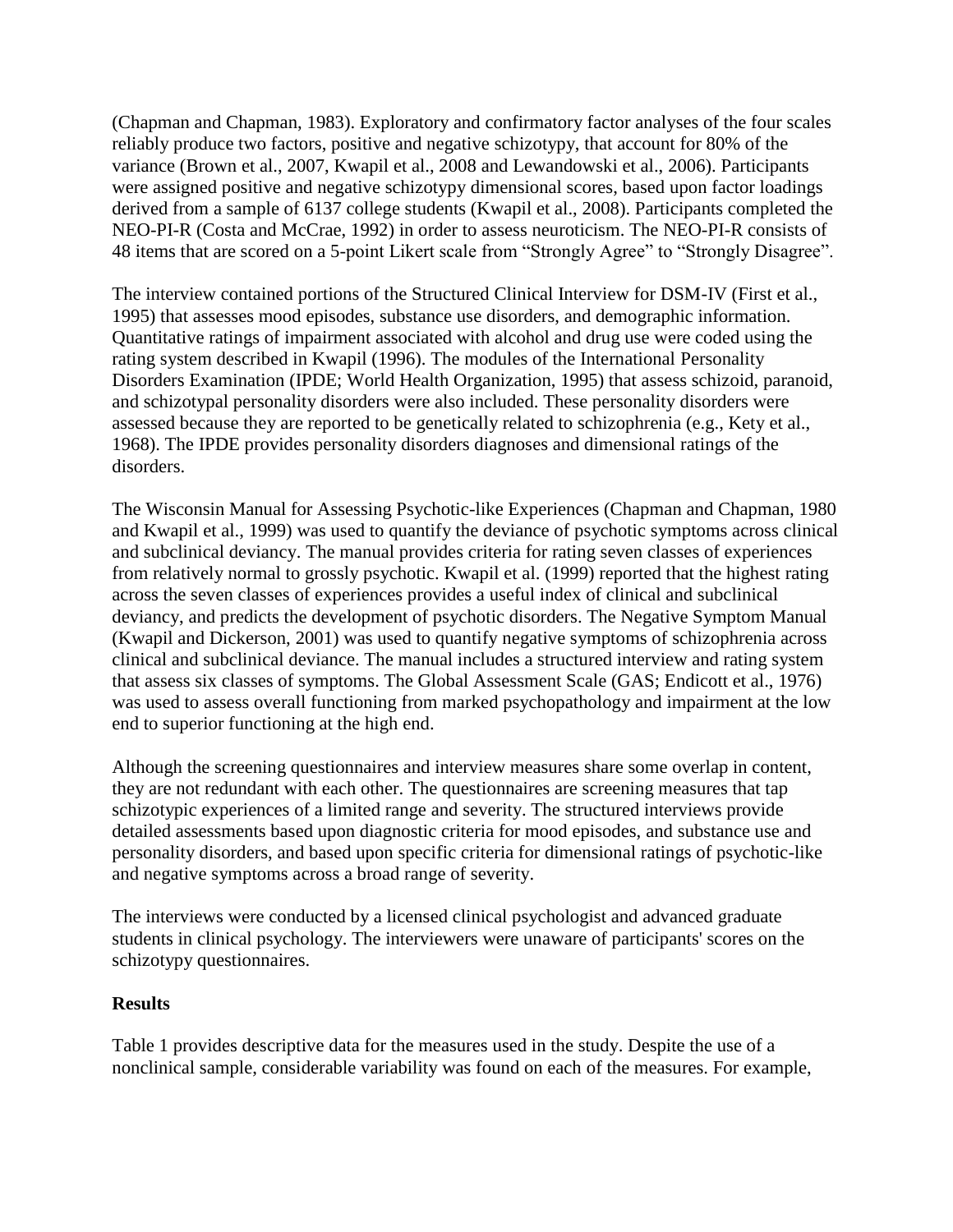(Chapman and Chapman, 1983). Exploratory and confirmatory factor analyses of the four scales reliably produce two factors, positive and negative schizotypy, that account for 80% of the variance (Brown et al., 2007, Kwapil et al., 2008 and Lewandowski et al., 2006). Participants were assigned positive and negative schizotypy dimensional scores, based upon factor loadings derived from a sample of 6137 college students (Kwapil et al., 2008). Participants completed the NEO-PI-R (Costa and McCrae, 1992) in order to assess neuroticism. The NEO-PI-R consists of 48 items that are scored on a 5-point Likert scale from "Strongly Agree" to "Strongly Disagree".

The interview contained portions of the Structured Clinical Interview for DSM-IV (First et al., 1995) that assesses mood episodes, substance use disorders, and demographic information. Quantitative ratings of impairment associated with alcohol and drug use were coded using the rating system described in Kwapil (1996). The modules of the International Personality Disorders Examination (IPDE; World Health Organization, 1995) that assess schizoid, paranoid, and schizotypal personality disorders were also included. These personality disorders were assessed because they are reported to be genetically related to schizophrenia (e.g., Kety et al., 1968). The IPDE provides personality disorders diagnoses and dimensional ratings of the disorders.

The Wisconsin Manual for Assessing Psychotic-like Experiences (Chapman and Chapman, 1980 and Kwapil et al., 1999) was used to quantify the deviance of psychotic symptoms across clinical and subclinical deviancy. The manual provides criteria for rating seven classes of experiences from relatively normal to grossly psychotic. Kwapil et al. (1999) reported that the highest rating across the seven classes of experiences provides a useful index of clinical and subclinical deviancy, and predicts the development of psychotic disorders. The Negative Symptom Manual (Kwapil and Dickerson, 2001) was used to quantify negative symptoms of schizophrenia across clinical and subclinical deviance. The manual includes a structured interview and rating system that assess six classes of symptoms. The Global Assessment Scale (GAS; Endicott et al., 1976) was used to assess overall functioning from marked psychopathology and impairment at the low end to superior functioning at the high end.

Although the screening questionnaires and interview measures share some overlap in content, they are not redundant with each other. The questionnaires are screening measures that tap schizotypic experiences of a limited range and severity. The structured interviews provide detailed assessments based upon diagnostic criteria for mood episodes, and substance use and personality disorders, and based upon specific criteria for dimensional ratings of psychotic-like and negative symptoms across a broad range of severity.

The interviews were conducted by a licensed clinical psychologist and advanced graduate students in clinical psychology. The interviewers were unaware of participants' scores on the schizotypy questionnaires.

### **Results**

Table 1 provides descriptive data for the measures used in the study. Despite the use of a nonclinical sample, considerable variability was found on each of the measures. For example,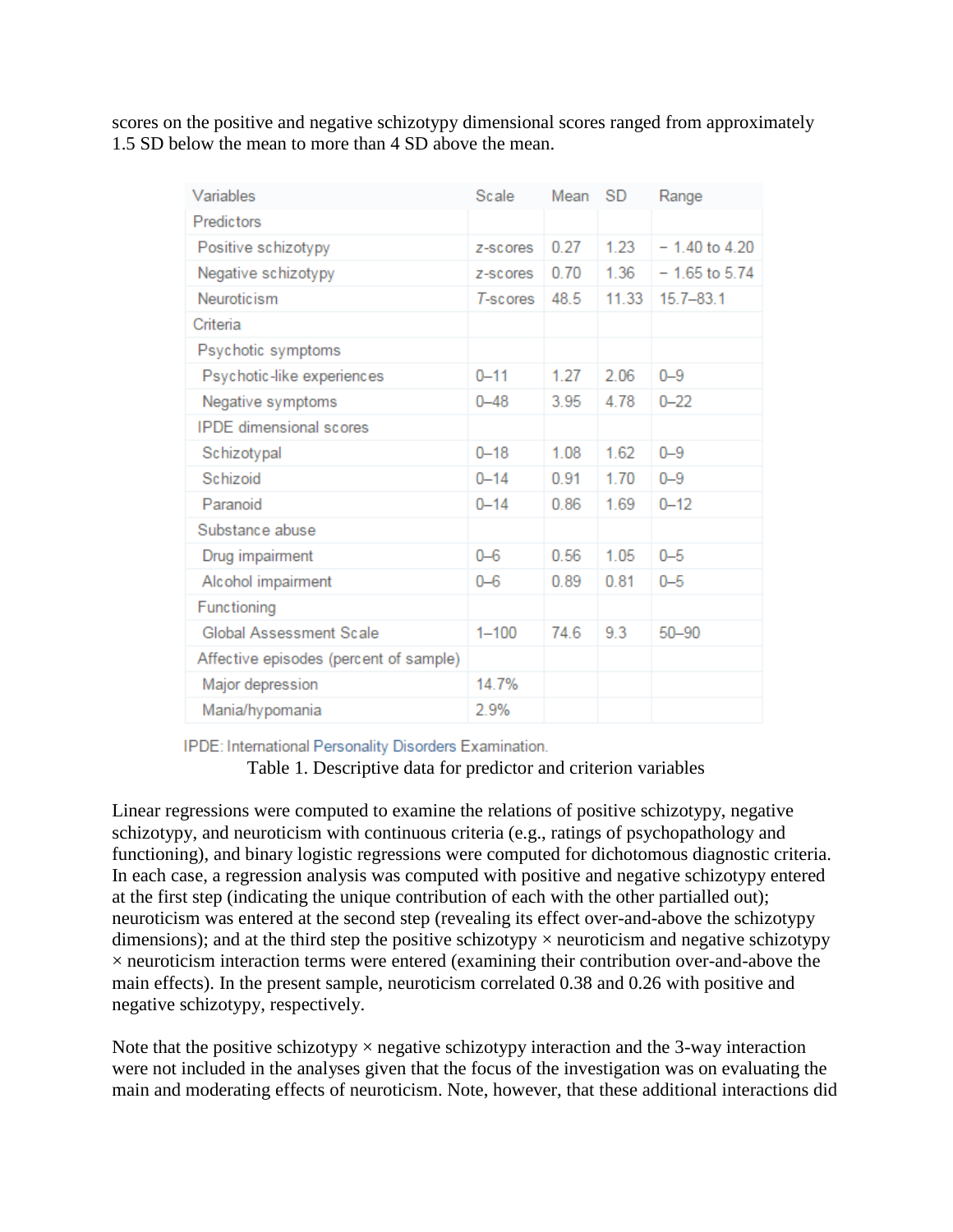scores on the positive and negative schizotypy dimensional scores ranged from approximately 1.5 SD below the mean to more than 4 SD above the mean.

| Variables                              | Scale     | Mean | <b>SD</b> | Range           |
|----------------------------------------|-----------|------|-----------|-----------------|
| Predictors                             |           |      |           |                 |
| Positive schizotypy                    | Z-SCOreS  | 0.27 | 1.23      | $-1.40$ to 4.20 |
| Negative schizotypy                    | Z-SCOreS  | 0.70 | 1.36      | $-1.65$ to 5.74 |
| Neuroticism                            | T-scores  | 48.5 | 11.33     | $15.7 - 83.1$   |
| Criteria                               |           |      |           |                 |
| Psychotic symptoms                     |           |      |           |                 |
| Psychotic-like experiences             | $0 - 11$  | 1.27 | 2.06      | $0 - 9$         |
| Negative symptoms                      | $0 - 48$  | 3.95 | 4.78      | $0 - 22$        |
| <b>IPDE</b> dimensional scores         |           |      |           |                 |
| Schizotypal                            | $0 - 18$  | 1.08 | 1.62      | $0 - 9$         |
| Schizoid                               | $0 - 14$  | 0.91 | 1.70      | $0 - 9$         |
| Paranoid                               | $0 - 14$  | 0.86 | 1.69      | $0 - 12$        |
| Substance abuse                        |           |      |           |                 |
| Drug impairment                        | $0 - 6$   | 0.56 | 1.05      | $0 - 5$         |
| Alcohol impairment                     | $0 - 6$   | 0.89 | 0.81      | $0 - 5$         |
| Functioning                            |           |      |           |                 |
| Global Assessment Scale                | $1 - 100$ | 74.6 | 9.3       | $50 - 90$       |
| Affective episodes (percent of sample) |           |      |           |                 |
| Major depression                       | 14.7%     |      |           |                 |
| Mania/hypomania                        | 2.9%      |      |           |                 |

IPDE: International Personality Disorders Examination.

Table 1. Descriptive data for predictor and criterion variables

Linear regressions were computed to examine the relations of positive schizotypy, negative schizotypy, and neuroticism with continuous criteria (e.g., ratings of psychopathology and functioning), and binary logistic regressions were computed for dichotomous diagnostic criteria. In each case, a regression analysis was computed with positive and negative schizotypy entered at the first step (indicating the unique contribution of each with the other partialled out); neuroticism was entered at the second step (revealing its effect over-and-above the schizotypy dimensions); and at the third step the positive schizotypy  $\times$  neuroticism and negative schizotypy  $\times$  neuroticism interaction terms were entered (examining their contribution over-and-above the main effects). In the present sample, neuroticism correlated 0.38 and 0.26 with positive and negative schizotypy, respectively.

Note that the positive schizotypy  $\times$  negative schizotypy interaction and the 3-way interaction were not included in the analyses given that the focus of the investigation was on evaluating the main and moderating effects of neuroticism. Note, however, that these additional interactions did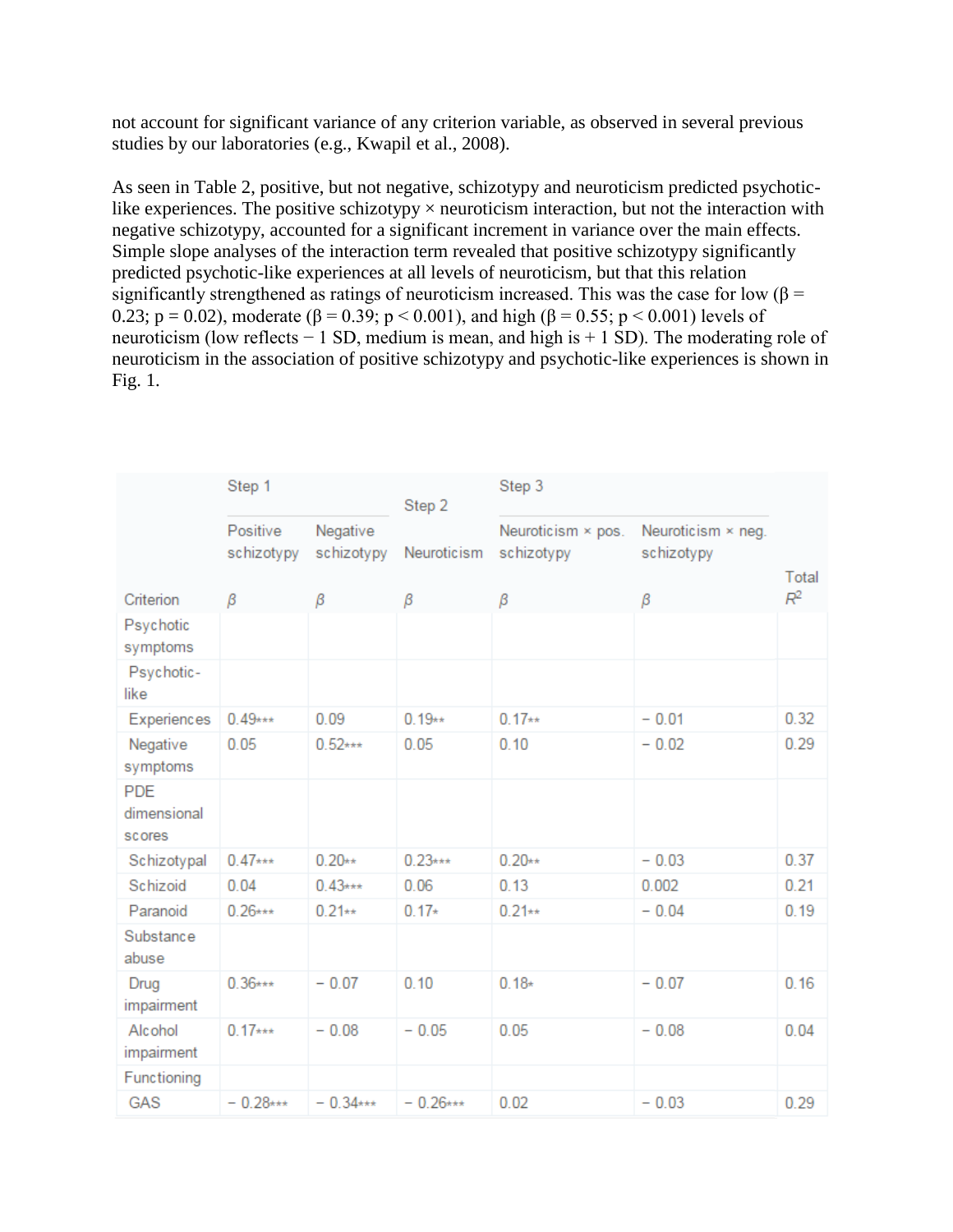not account for significant variance of any criterion variable, as observed in several previous studies by our laboratories (e.g., Kwapil et al., 2008).

As seen in Table 2, positive, but not negative, schizotypy and neuroticism predicted psychoticlike experiences. The positive schizotypy  $\times$  neuroticism interaction, but not the interaction with negative schizotypy, accounted for a significant increment in variance over the main effects. Simple slope analyses of the interaction term revealed that positive schizotypy significantly predicted psychotic-like experiences at all levels of neuroticism, but that this relation significantly strengthened as ratings of neuroticism increased. This was the case for low ( $\beta$  = 0.23; p = 0.02), moderate ( $\beta$  = 0.39; p < 0.001), and high ( $\beta$  = 0.55; p < 0.001) levels of neuroticism (low reflects − 1 SD, medium is mean, and high is + 1 SD). The moderating role of neuroticism in the association of positive schizotypy and psychotic-like experiences is shown in Fig. 1.

|                                     | Step 1                 |                        | Step 2      | Step 3                           |                                  |                |
|-------------------------------------|------------------------|------------------------|-------------|----------------------------------|----------------------------------|----------------|
|                                     | Positive<br>schizotypy | Negative<br>schizotypy | Neuroticism | Neuroticism × pos.<br>schizotypy | Neuroticism × neg.<br>schizotypy |                |
| Criterion                           | β                      | β                      | β           | β                                | β                                | Total<br>$R^2$ |
| Psychotic<br>symptoms               |                        |                        |             |                                  |                                  |                |
| Psychotic-<br>like                  |                        |                        |             |                                  |                                  |                |
| Experiences                         | $0.49***$              | 0.09                   | $0.19**$    | $0.17**$                         | $-0.01$                          | 0.32           |
| Negative<br>symptoms                | 0.05                   | $0.52***$              | 0.05        | 0.10                             | $-0.02$                          | 0.29           |
| <b>PDE</b><br>dimensional<br>scores |                        |                        |             |                                  |                                  |                |
| Schizotypal                         | $0.47***$              | $0.20**$               | $0.23***$   | $0.20**$                         | $-0.03$                          | 0.37           |
| Schizoid                            | 0.04                   | $0.43***$              | 0.06        | 0.13                             | 0.002                            | 0.21           |
| Paranoid                            | $0.26***$              | $0.21**$               | $0.17*$     | $0.21**$                         | $-0.04$                          | 0.19           |
| Substance<br>abuse                  |                        |                        |             |                                  |                                  |                |
| Drug<br>impairment                  | $0.36***$              | $-0.07$                | 0.10        | $0.18*$                          | $-0.07$                          | 0.16           |
| Alcohol<br>impairment               | $0.17***$              | $-0.08$                | $-0.05$     | 0.05                             | $-0.08$                          | 0.04           |
| Functioning                         |                        |                        |             |                                  |                                  |                |
| GAS                                 | $-0.28***$             | $-0.34***$             | $-0.26***$  | 0.02                             | $-0.03$                          | 0.29           |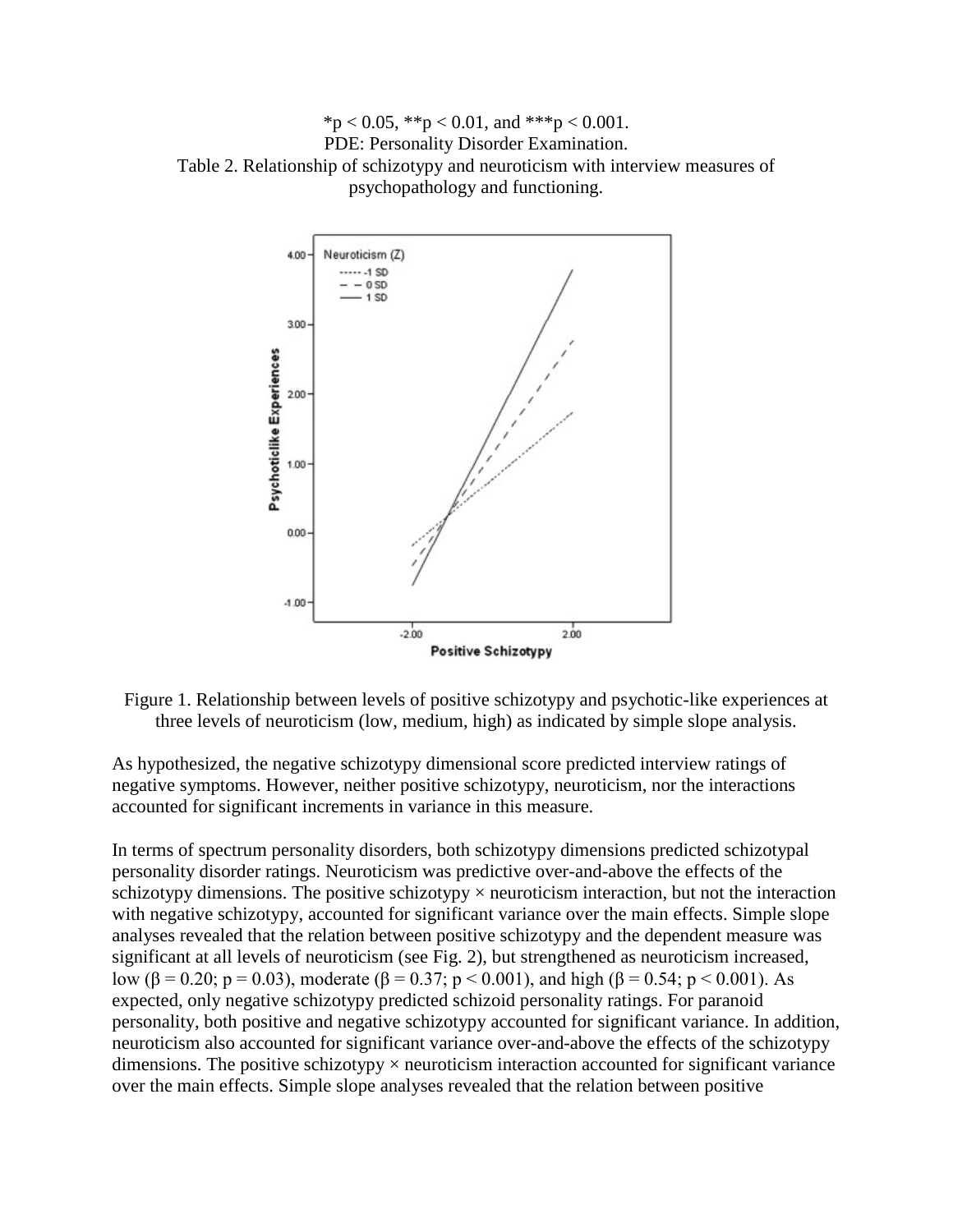$*_{p}$  < 0.05,  $*_{p}$  < 0.01, and  $*_{p}$  < 0.001. PDE: Personality Disorder Examination. Table 2. Relationship of schizotypy and neuroticism with interview measures of psychopathology and functioning.



Figure 1. Relationship between levels of positive schizotypy and psychotic-like experiences at three levels of neuroticism (low, medium, high) as indicated by simple slope analysis.

As hypothesized, the negative schizotypy dimensional score predicted interview ratings of negative symptoms. However, neither positive schizotypy, neuroticism, nor the interactions accounted for significant increments in variance in this measure.

In terms of spectrum personality disorders, both schizotypy dimensions predicted schizotypal personality disorder ratings. Neuroticism was predictive over-and-above the effects of the schizotypy dimensions. The positive schizotypy  $\times$  neuroticism interaction, but not the interaction with negative schizotypy, accounted for significant variance over the main effects. Simple slope analyses revealed that the relation between positive schizotypy and the dependent measure was significant at all levels of neuroticism (see Fig. 2), but strengthened as neuroticism increased, low (β = 0.20; p = 0.03), moderate (β = 0.37; p < 0.001), and high (β = 0.54; p < 0.001). As expected, only negative schizotypy predicted schizoid personality ratings. For paranoid personality, both positive and negative schizotypy accounted for significant variance. In addition, neuroticism also accounted for significant variance over-and-above the effects of the schizotypy dimensions. The positive schizotypy  $\times$  neuroticism interaction accounted for significant variance over the main effects. Simple slope analyses revealed that the relation between positive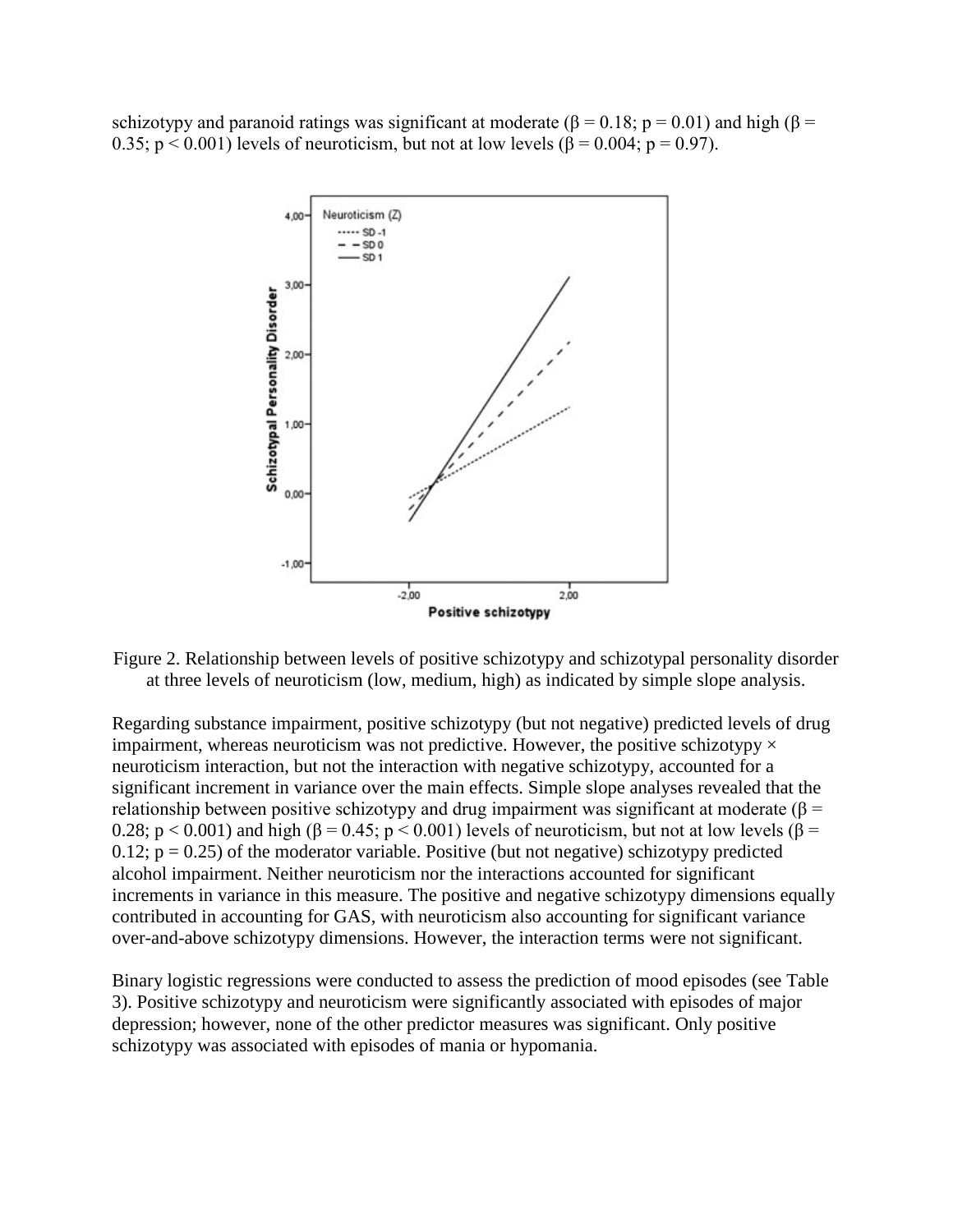schizotypy and paranoid ratings was significant at moderate  $(\beta = 0.18; p = 0.01)$  and high  $(\beta = 0.18; p = 0.01)$ 0.35;  $p < 0.001$ ) levels of neuroticism, but not at low levels ( $\beta = 0.004$ ;  $p = 0.97$ ).



Figure 2. Relationship between levels of positive schizotypy and schizotypal personality disorder at three levels of neuroticism (low, medium, high) as indicated by simple slope analysis.

Regarding substance impairment, positive schizotypy (but not negative) predicted levels of drug impairment, whereas neuroticism was not predictive. However, the positive schizotypy  $\times$ neuroticism interaction, but not the interaction with negative schizotypy, accounted for a significant increment in variance over the main effects. Simple slope analyses revealed that the relationship between positive schizotypy and drug impairment was significant at moderate ( $\beta$  = 0.28; p < 0.001) and high ( $\beta$  = 0.45; p < 0.001) levels of neuroticism, but not at low levels ( $\beta$  = 0.12;  $p = 0.25$ ) of the moderator variable. Positive (but not negative) schizotypy predicted alcohol impairment. Neither neuroticism nor the interactions accounted for significant increments in variance in this measure. The positive and negative schizotypy dimensions equally contributed in accounting for GAS, with neuroticism also accounting for significant variance over-and-above schizotypy dimensions. However, the interaction terms were not significant.

Binary logistic regressions were conducted to assess the prediction of mood episodes (see Table 3). Positive schizotypy and neuroticism were significantly associated with episodes of major depression; however, none of the other predictor measures was significant. Only positive schizotypy was associated with episodes of mania or hypomania.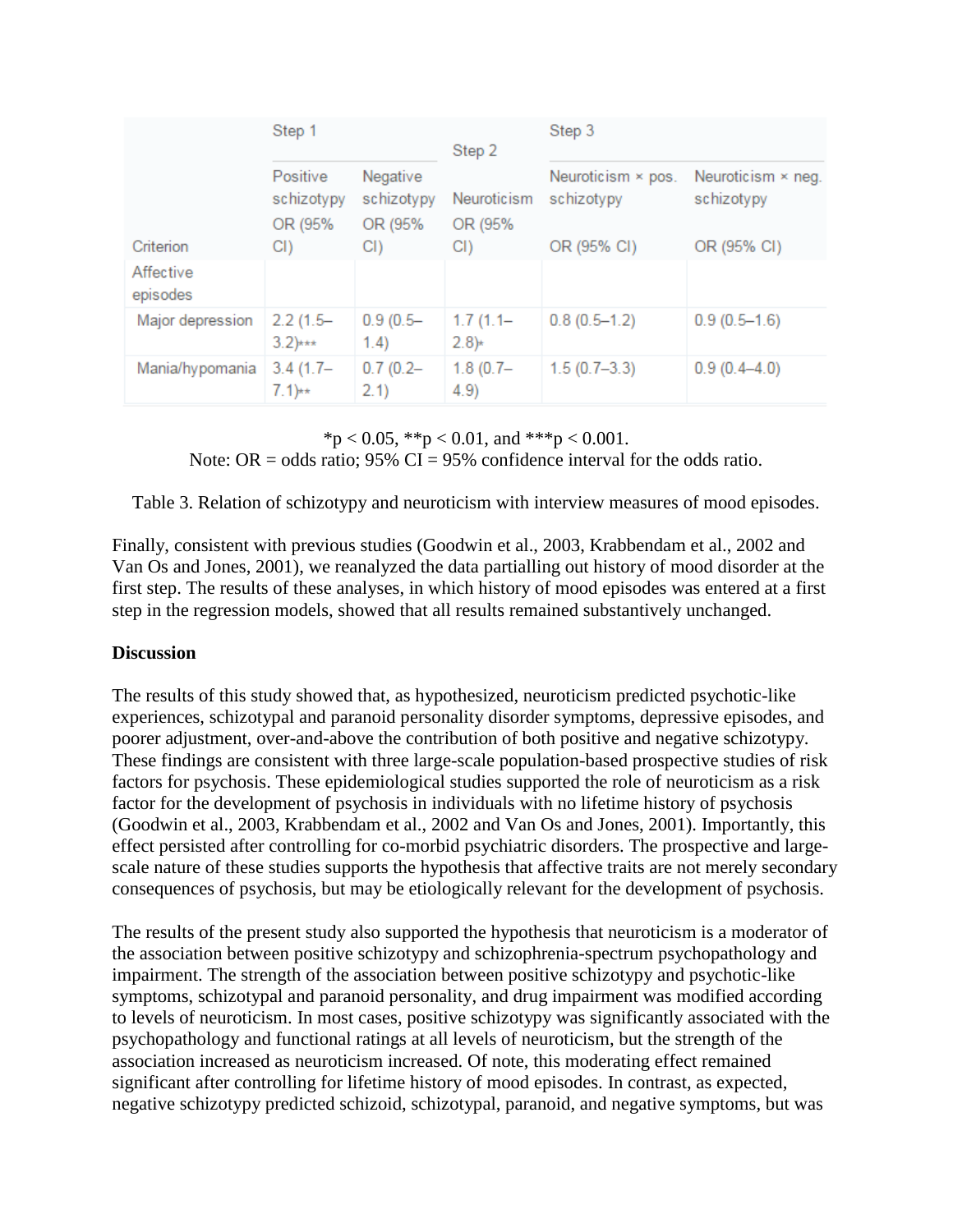|                       | Step 1                            |                                   | Step 2                 | Step 3                           |                                         |  |
|-----------------------|-----------------------------------|-----------------------------------|------------------------|----------------------------------|-----------------------------------------|--|
|                       | Positive<br>schizotypy<br>OR (95% | Negative<br>schizotypy<br>OR (95% | Neuroticism<br>OR (95% | Neuroticism × pos.<br>schizotypy | Neuroticism $\times$ neg.<br>schizotypy |  |
| Criterion             | CI)                               | CI)                               | CI)                    | OR (95% CI)                      | OR (95% CI)                             |  |
| Affective<br>episodes |                                   |                                   |                        |                                  |                                         |  |
| Major depression      | $2.2(1.5 -$<br>$3.2$ )***         | $0.9(0.5 -$<br>(1.4)              | $1.7(1.1 -$<br>$2.8*$  | $0.8(0.5-1.2)$                   | $0.9(0.5-1.6)$                          |  |
| Mania/hypomania       | $3.4(1.7-$<br>$7.1**$             | $0.7(0.2 -$<br>2.1)               | $1.8(0.7-$<br>(4.9)    | $1.5(0.7-3.3)$                   | $0.9(0.4 - 4.0)$                        |  |

\*p < 0.05, \*\*p < 0.01, and \*\*\*p < 0.001. Note: OR = odds ratio;  $95\%$  CI =  $95\%$  confidence interval for the odds ratio.

Table 3. Relation of schizotypy and neuroticism with interview measures of mood episodes.

Finally, consistent with previous studies (Goodwin et al., 2003, Krabbendam et al., 2002 and Van Os and Jones, 2001), we reanalyzed the data partialling out history of mood disorder at the first step. The results of these analyses, in which history of mood episodes was entered at a first step in the regression models, showed that all results remained substantively unchanged.

#### **Discussion**

The results of this study showed that, as hypothesized, neuroticism predicted psychotic-like experiences, schizotypal and paranoid personality disorder symptoms, depressive episodes, and poorer adjustment, over-and-above the contribution of both positive and negative schizotypy. These findings are consistent with three large-scale population-based prospective studies of risk factors for psychosis. These epidemiological studies supported the role of neuroticism as a risk factor for the development of psychosis in individuals with no lifetime history of psychosis (Goodwin et al., 2003, Krabbendam et al., 2002 and Van Os and Jones, 2001). Importantly, this effect persisted after controlling for co-morbid psychiatric disorders. The prospective and largescale nature of these studies supports the hypothesis that affective traits are not merely secondary consequences of psychosis, but may be etiologically relevant for the development of psychosis.

The results of the present study also supported the hypothesis that neuroticism is a moderator of the association between positive schizotypy and schizophrenia-spectrum psychopathology and impairment. The strength of the association between positive schizotypy and psychotic-like symptoms, schizotypal and paranoid personality, and drug impairment was modified according to levels of neuroticism. In most cases, positive schizotypy was significantly associated with the psychopathology and functional ratings at all levels of neuroticism, but the strength of the association increased as neuroticism increased. Of note, this moderating effect remained significant after controlling for lifetime history of mood episodes. In contrast, as expected, negative schizotypy predicted schizoid, schizotypal, paranoid, and negative symptoms, but was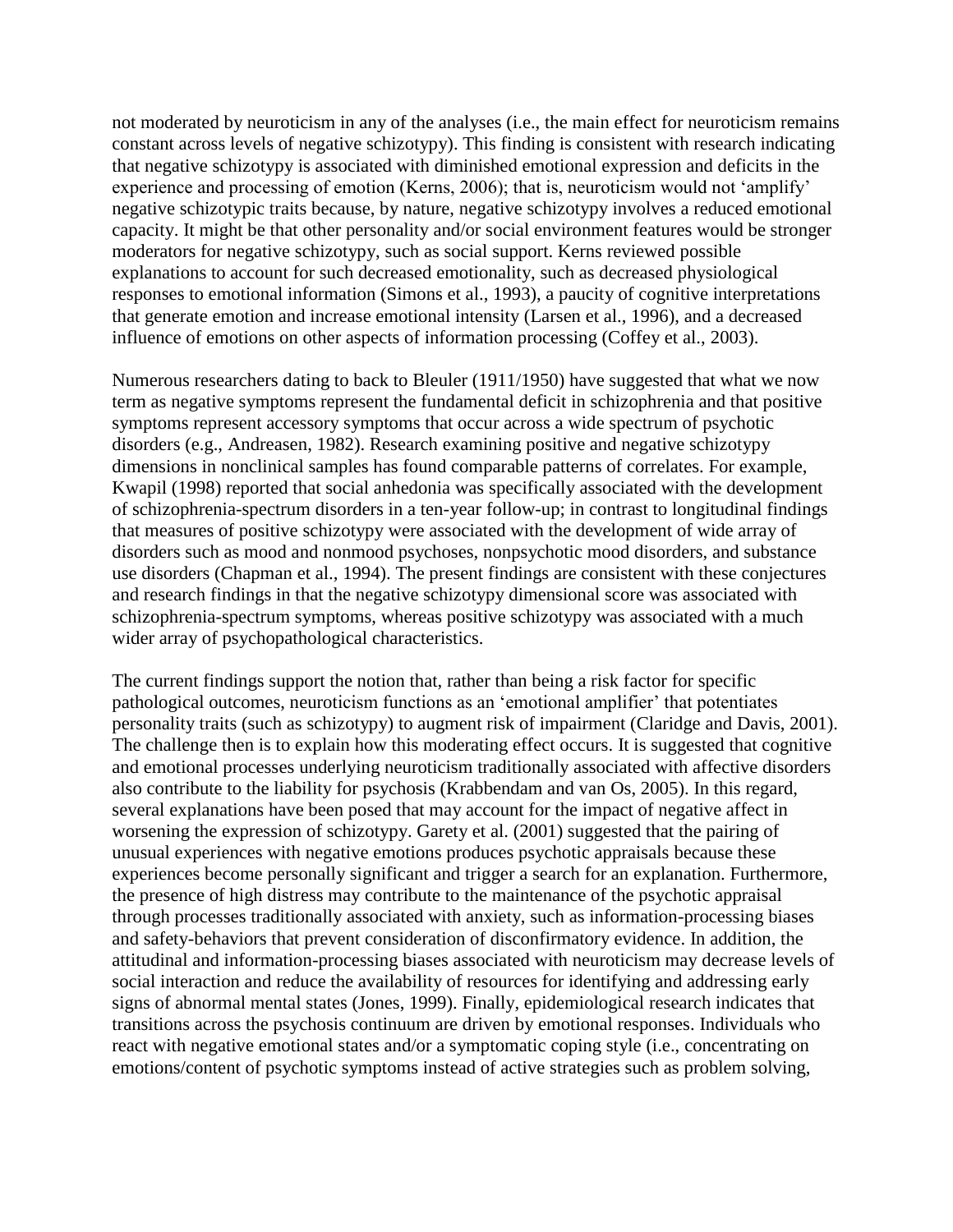not moderated by neuroticism in any of the analyses (i.e., the main effect for neuroticism remains constant across levels of negative schizotypy). This finding is consistent with research indicating that negative schizotypy is associated with diminished emotional expression and deficits in the experience and processing of emotion (Kerns, 2006); that is, neuroticism would not 'amplify' negative schizotypic traits because, by nature, negative schizotypy involves a reduced emotional capacity. It might be that other personality and/or social environment features would be stronger moderators for negative schizotypy, such as social support. Kerns reviewed possible explanations to account for such decreased emotionality, such as decreased physiological responses to emotional information (Simons et al., 1993), a paucity of cognitive interpretations that generate emotion and increase emotional intensity (Larsen et al., 1996), and a decreased influence of emotions on other aspects of information processing (Coffey et al., 2003).

Numerous researchers dating to back to Bleuler (1911/1950) have suggested that what we now term as negative symptoms represent the fundamental deficit in schizophrenia and that positive symptoms represent accessory symptoms that occur across a wide spectrum of psychotic disorders (e.g., Andreasen, 1982). Research examining positive and negative schizotypy dimensions in nonclinical samples has found comparable patterns of correlates. For example, Kwapil (1998) reported that social anhedonia was specifically associated with the development of schizophrenia-spectrum disorders in a ten-year follow-up; in contrast to longitudinal findings that measures of positive schizotypy were associated with the development of wide array of disorders such as mood and nonmood psychoses, nonpsychotic mood disorders, and substance use disorders (Chapman et al., 1994). The present findings are consistent with these conjectures and research findings in that the negative schizotypy dimensional score was associated with schizophrenia-spectrum symptoms, whereas positive schizotypy was associated with a much wider array of psychopathological characteristics.

The current findings support the notion that, rather than being a risk factor for specific pathological outcomes, neuroticism functions as an 'emotional amplifier' that potentiates personality traits (such as schizotypy) to augment risk of impairment (Claridge and Davis, 2001). The challenge then is to explain how this moderating effect occurs. It is suggested that cognitive and emotional processes underlying neuroticism traditionally associated with affective disorders also contribute to the liability for psychosis (Krabbendam and van Os, 2005). In this regard, several explanations have been posed that may account for the impact of negative affect in worsening the expression of schizotypy. Garety et al. (2001) suggested that the pairing of unusual experiences with negative emotions produces psychotic appraisals because these experiences become personally significant and trigger a search for an explanation. Furthermore, the presence of high distress may contribute to the maintenance of the psychotic appraisal through processes traditionally associated with anxiety, such as information-processing biases and safety-behaviors that prevent consideration of disconfirmatory evidence. In addition, the attitudinal and information-processing biases associated with neuroticism may decrease levels of social interaction and reduce the availability of resources for identifying and addressing early signs of abnormal mental states (Jones, 1999). Finally, epidemiological research indicates that transitions across the psychosis continuum are driven by emotional responses. Individuals who react with negative emotional states and/or a symptomatic coping style (i.e., concentrating on emotions/content of psychotic symptoms instead of active strategies such as problem solving,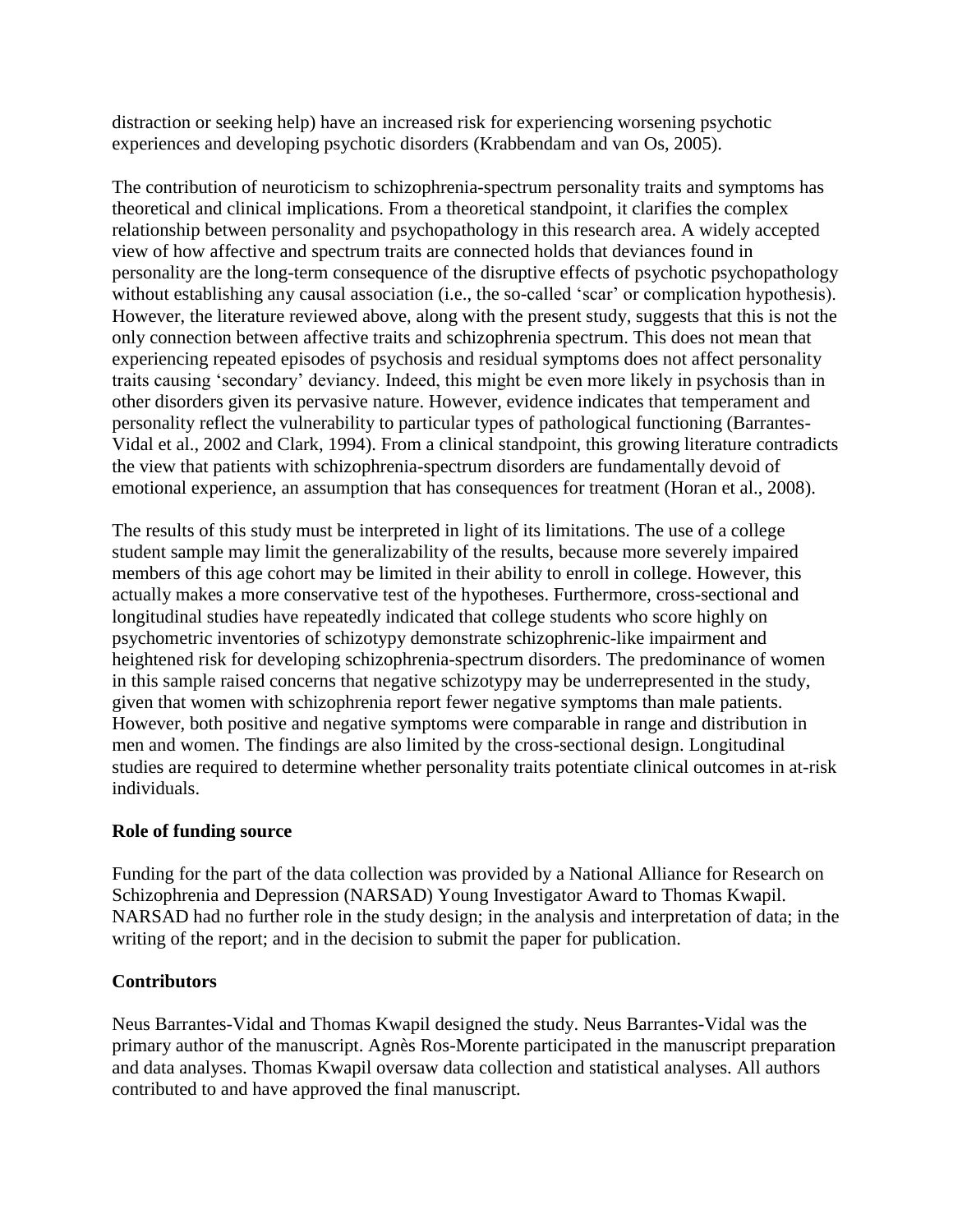distraction or seeking help) have an increased risk for experiencing worsening psychotic experiences and developing psychotic disorders (Krabbendam and van Os, 2005).

The contribution of neuroticism to schizophrenia-spectrum personality traits and symptoms has theoretical and clinical implications. From a theoretical standpoint, it clarifies the complex relationship between personality and psychopathology in this research area. A widely accepted view of how affective and spectrum traits are connected holds that deviances found in personality are the long-term consequence of the disruptive effects of psychotic psychopathology without establishing any causal association (i.e., the so-called 'scar' or complication hypothesis). However, the literature reviewed above, along with the present study, suggests that this is not the only connection between affective traits and schizophrenia spectrum. This does not mean that experiencing repeated episodes of psychosis and residual symptoms does not affect personality traits causing 'secondary' deviancy. Indeed, this might be even more likely in psychosis than in other disorders given its pervasive nature. However, evidence indicates that temperament and personality reflect the vulnerability to particular types of pathological functioning (Barrantes-Vidal et al., 2002 and Clark, 1994). From a clinical standpoint, this growing literature contradicts the view that patients with schizophrenia-spectrum disorders are fundamentally devoid of emotional experience, an assumption that has consequences for treatment (Horan et al., 2008).

The results of this study must be interpreted in light of its limitations. The use of a college student sample may limit the generalizability of the results, because more severely impaired members of this age cohort may be limited in their ability to enroll in college. However, this actually makes a more conservative test of the hypotheses. Furthermore, cross-sectional and longitudinal studies have repeatedly indicated that college students who score highly on psychometric inventories of schizotypy demonstrate schizophrenic-like impairment and heightened risk for developing schizophrenia-spectrum disorders. The predominance of women in this sample raised concerns that negative schizotypy may be underrepresented in the study, given that women with schizophrenia report fewer negative symptoms than male patients. However, both positive and negative symptoms were comparable in range and distribution in men and women. The findings are also limited by the cross-sectional design. Longitudinal studies are required to determine whether personality traits potentiate clinical outcomes in at-risk individuals.

### **Role of funding source**

Funding for the part of the data collection was provided by a National Alliance for Research on Schizophrenia and Depression (NARSAD) Young Investigator Award to Thomas Kwapil. NARSAD had no further role in the study design; in the analysis and interpretation of data; in the writing of the report; and in the decision to submit the paper for publication.

### **Contributors**

Neus Barrantes-Vidal and Thomas Kwapil designed the study. Neus Barrantes-Vidal was the primary author of the manuscript. Agnès Ros-Morente participated in the manuscript preparation and data analyses. Thomas Kwapil oversaw data collection and statistical analyses. All authors contributed to and have approved the final manuscript.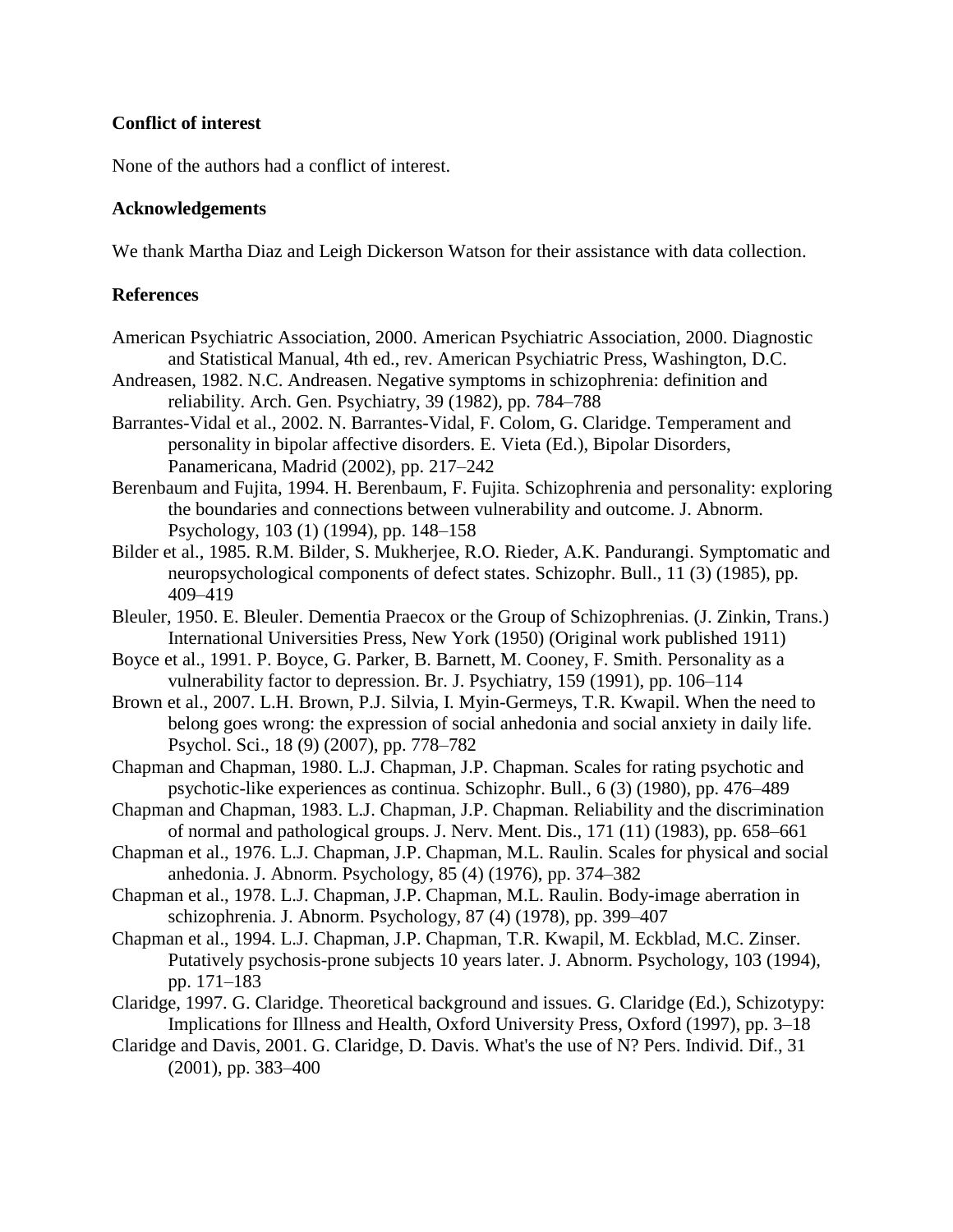#### **Conflict of interest**

None of the authors had a conflict of interest.

#### **Acknowledgements**

We thank Martha Diaz and Leigh Dickerson Watson for their assistance with data collection.

#### **References**

- American Psychiatric Association, 2000. American Psychiatric Association, 2000. Diagnostic and Statistical Manual, 4th ed., rev. American Psychiatric Press, Washington, D.C.
- Andreasen, 1982. N.C. Andreasen. Negative symptoms in schizophrenia: definition and reliability. Arch. Gen. Psychiatry, 39 (1982), pp. 784–788
- Barrantes-Vidal et al., 2002. N. Barrantes-Vidal, F. Colom, G. Claridge. Temperament and personality in bipolar affective disorders. E. Vieta (Ed.), Bipolar Disorders, Panamericana, Madrid (2002), pp. 217–242
- Berenbaum and Fujita, 1994. H. Berenbaum, F. Fujita. Schizophrenia and personality: exploring the boundaries and connections between vulnerability and outcome. J. Abnorm. Psychology, 103 (1) (1994), pp. 148–158
- Bilder et al., 1985. R.M. Bilder, S. Mukherjee, R.O. Rieder, A.K. Pandurangi. Symptomatic and neuropsychological components of defect states. Schizophr. Bull., 11 (3) (1985), pp. 409–419
- Bleuler, 1950. E. Bleuler. Dementia Praecox or the Group of Schizophrenias. (J. Zinkin, Trans.) International Universities Press, New York (1950) (Original work published 1911)
- Boyce et al., 1991. P. Boyce, G. Parker, B. Barnett, M. Cooney, F. Smith. Personality as a vulnerability factor to depression. Br. J. Psychiatry, 159 (1991), pp. 106–114
- Brown et al., 2007. L.H. Brown, P.J. Silvia, I. Myin-Germeys, T.R. Kwapil. When the need to belong goes wrong: the expression of social anhedonia and social anxiety in daily life. Psychol. Sci., 18 (9) (2007), pp. 778–782
- Chapman and Chapman, 1980. L.J. Chapman, J.P. Chapman. Scales for rating psychotic and psychotic-like experiences as continua. Schizophr. Bull., 6 (3) (1980), pp. 476–489
- Chapman and Chapman, 1983. L.J. Chapman, J.P. Chapman. Reliability and the discrimination of normal and pathological groups. J. Nerv. Ment. Dis., 171 (11) (1983), pp. 658–661
- Chapman et al., 1976. L.J. Chapman, J.P. Chapman, M.L. Raulin. Scales for physical and social anhedonia. J. Abnorm. Psychology, 85 (4) (1976), pp. 374–382
- Chapman et al., 1978. L.J. Chapman, J.P. Chapman, M.L. Raulin. Body-image aberration in schizophrenia. J. Abnorm. Psychology, 87 (4) (1978), pp. 399–407
- Chapman et al., 1994. L.J. Chapman, J.P. Chapman, T.R. Kwapil, M. Eckblad, M.C. Zinser. Putatively psychosis-prone subjects 10 years later. J. Abnorm. Psychology, 103 (1994), pp. 171–183
- Claridge, 1997. G. Claridge. Theoretical background and issues. G. Claridge (Ed.), Schizotypy: Implications for Illness and Health, Oxford University Press, Oxford (1997), pp. 3–18
- Claridge and Davis, 2001. G. Claridge, D. Davis. What's the use of N? Pers. Individ. Dif., 31 (2001), pp. 383–400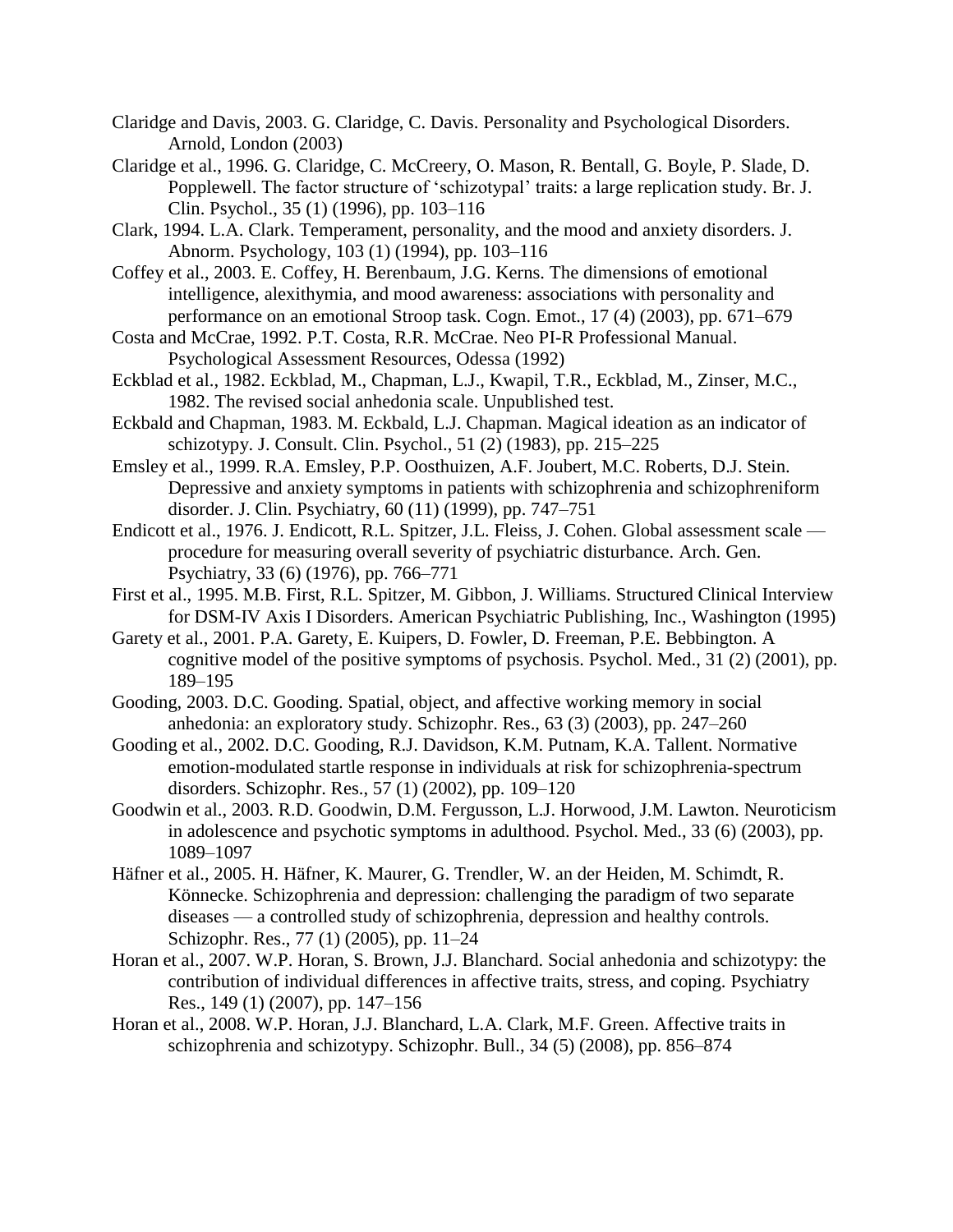- Claridge and Davis, 2003. G. Claridge, C. Davis. Personality and Psychological Disorders. Arnold, London (2003)
- Claridge et al., 1996. G. Claridge, C. McCreery, O. Mason, R. Bentall, G. Boyle, P. Slade, D. Popplewell. The factor structure of 'schizotypal' traits: a large replication study. Br. J. Clin. Psychol., 35 (1) (1996), pp. 103–116
- Clark, 1994. L.A. Clark. Temperament, personality, and the mood and anxiety disorders. J. Abnorm. Psychology, 103 (1) (1994), pp. 103–116
- Coffey et al., 2003. E. Coffey, H. Berenbaum, J.G. Kerns. The dimensions of emotional intelligence, alexithymia, and mood awareness: associations with personality and performance on an emotional Stroop task. Cogn. Emot., 17 (4) (2003), pp. 671–679
- Costa and McCrae, 1992. P.T. Costa, R.R. McCrae. Neo PI-R Professional Manual. Psychological Assessment Resources, Odessa (1992)
- Eckblad et al., 1982. Eckblad, M., Chapman, L.J., Kwapil, T.R., Eckblad, M., Zinser, M.C., 1982. The revised social anhedonia scale. Unpublished test.
- Eckbald and Chapman, 1983. M. Eckbald, L.J. Chapman. Magical ideation as an indicator of schizotypy. J. Consult. Clin. Psychol., 51 (2) (1983), pp. 215–225
- Emsley et al., 1999. R.A. Emsley, P.P. Oosthuizen, A.F. Joubert, M.C. Roberts, D.J. Stein. Depressive and anxiety symptoms in patients with schizophrenia and schizophreniform disorder. J. Clin. Psychiatry, 60 (11) (1999), pp. 747–751
- Endicott et al., 1976. J. Endicott, R.L. Spitzer, J.L. Fleiss, J. Cohen. Global assessment scale procedure for measuring overall severity of psychiatric disturbance. Arch. Gen. Psychiatry, 33 (6) (1976), pp. 766–771
- First et al., 1995. M.B. First, R.L. Spitzer, M. Gibbon, J. Williams. Structured Clinical Interview for DSM-IV Axis I Disorders. American Psychiatric Publishing, Inc., Washington (1995)
- Garety et al., 2001. P.A. Garety, E. Kuipers, D. Fowler, D. Freeman, P.E. Bebbington. A cognitive model of the positive symptoms of psychosis. Psychol. Med., 31 (2) (2001), pp. 189–195
- Gooding, 2003. D.C. Gooding. Spatial, object, and affective working memory in social anhedonia: an exploratory study. Schizophr. Res., 63 (3) (2003), pp. 247–260
- Gooding et al., 2002. D.C. Gooding, R.J. Davidson, K.M. Putnam, K.A. Tallent. Normative emotion-modulated startle response in individuals at risk for schizophrenia-spectrum disorders. Schizophr. Res., 57 (1) (2002), pp. 109–120
- Goodwin et al., 2003. R.D. Goodwin, D.M. Fergusson, L.J. Horwood, J.M. Lawton. Neuroticism in adolescence and psychotic symptoms in adulthood. Psychol. Med., 33 (6) (2003), pp. 1089–1097
- Häfner et al., 2005. H. Häfner, K. Maurer, G. Trendler, W. an der Heiden, M. Schimdt, R. Könnecke. Schizophrenia and depression: challenging the paradigm of two separate diseases — a controlled study of schizophrenia, depression and healthy controls. Schizophr. Res., 77 (1) (2005), pp. 11–24
- Horan et al., 2007. W.P. Horan, S. Brown, J.J. Blanchard. Social anhedonia and schizotypy: the contribution of individual differences in affective traits, stress, and coping. Psychiatry Res., 149 (1) (2007), pp. 147–156
- Horan et al., 2008. W.P. Horan, J.J. Blanchard, L.A. Clark, M.F. Green. Affective traits in schizophrenia and schizotypy. Schizophr. Bull., 34 (5) (2008), pp. 856–874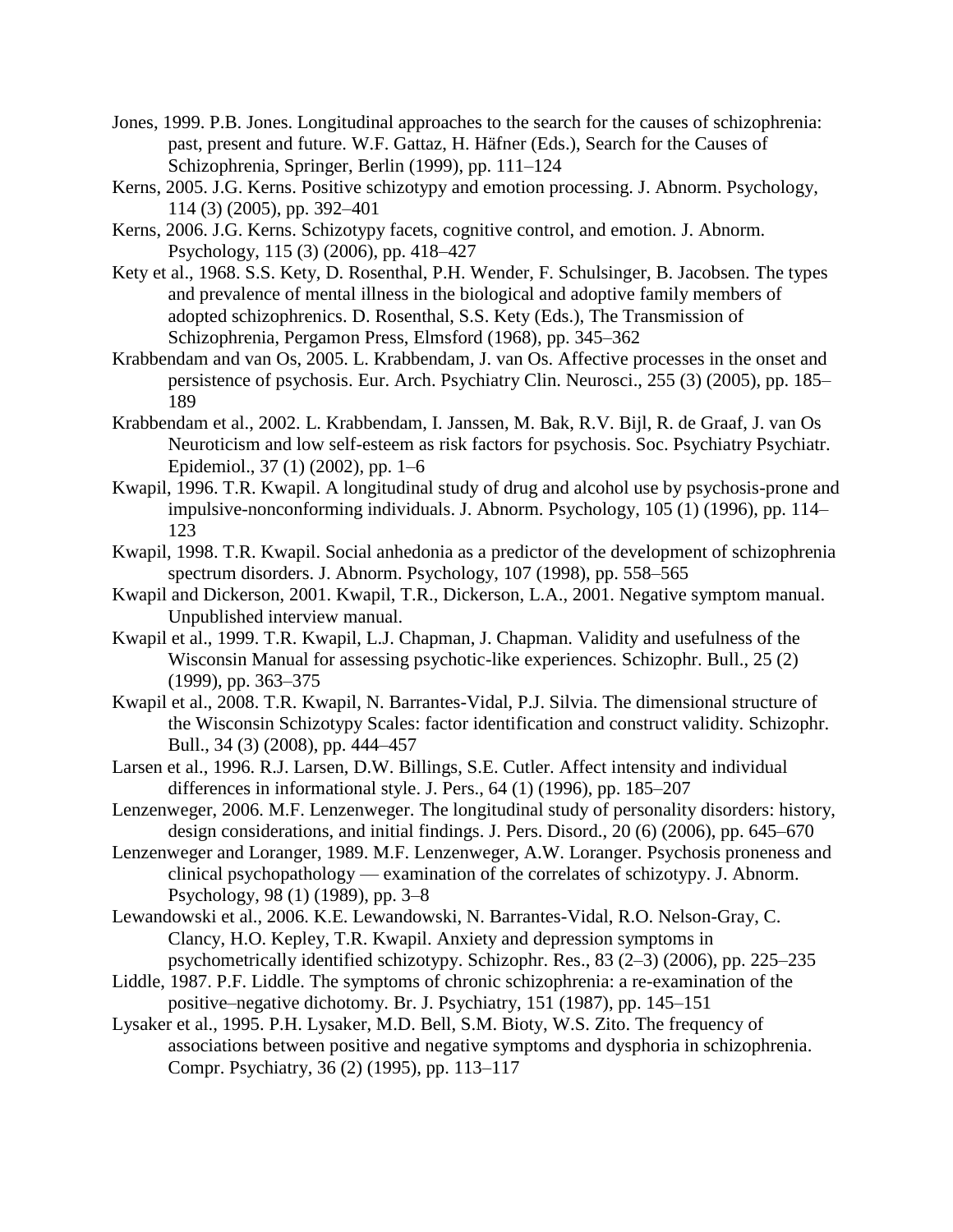- Jones, 1999. P.B. Jones. Longitudinal approaches to the search for the causes of schizophrenia: past, present and future. W.F. Gattaz, H. Häfner (Eds.), Search for the Causes of Schizophrenia, Springer, Berlin (1999), pp. 111–124
- Kerns, 2005. J.G. Kerns. Positive schizotypy and emotion processing. J. Abnorm. Psychology, 114 (3) (2005), pp. 392–401
- Kerns, 2006. J.G. Kerns. Schizotypy facets, cognitive control, and emotion. J. Abnorm. Psychology, 115 (3) (2006), pp. 418–427
- Kety et al., 1968. S.S. Kety, D. Rosenthal, P.H. Wender, F. Schulsinger, B. Jacobsen. The types and prevalence of mental illness in the biological and adoptive family members of adopted schizophrenics. D. Rosenthal, S.S. Kety (Eds.), The Transmission of Schizophrenia, Pergamon Press, Elmsford (1968), pp. 345–362
- Krabbendam and van Os, 2005. L. Krabbendam, J. van Os. Affective processes in the onset and persistence of psychosis. Eur. Arch. Psychiatry Clin. Neurosci., 255 (3) (2005), pp. 185– 189
- Krabbendam et al., 2002. L. Krabbendam, I. Janssen, M. Bak, R.V. Bijl, R. de Graaf, J. van Os Neuroticism and low self-esteem as risk factors for psychosis. Soc. Psychiatry Psychiatr. Epidemiol., 37 (1) (2002), pp. 1–6
- Kwapil, 1996. T.R. Kwapil. A longitudinal study of drug and alcohol use by psychosis-prone and impulsive-nonconforming individuals. J. Abnorm. Psychology, 105 (1) (1996), pp. 114– 123
- Kwapil, 1998. T.R. Kwapil. Social anhedonia as a predictor of the development of schizophrenia spectrum disorders. J. Abnorm. Psychology, 107 (1998), pp. 558–565
- Kwapil and Dickerson, 2001. Kwapil, T.R., Dickerson, L.A., 2001. Negative symptom manual. Unpublished interview manual.
- Kwapil et al., 1999. T.R. Kwapil, L.J. Chapman, J. Chapman. Validity and usefulness of the Wisconsin Manual for assessing psychotic-like experiences. Schizophr. Bull., 25 (2) (1999), pp. 363–375
- Kwapil et al., 2008. T.R. Kwapil, N. Barrantes-Vidal, P.J. Silvia. The dimensional structure of the Wisconsin Schizotypy Scales: factor identification and construct validity. Schizophr. Bull., 34 (3) (2008), pp. 444–457
- Larsen et al., 1996. R.J. Larsen, D.W. Billings, S.E. Cutler. Affect intensity and individual differences in informational style. J. Pers., 64 (1) (1996), pp. 185–207
- Lenzenweger, 2006. M.F. Lenzenweger. The longitudinal study of personality disorders: history, design considerations, and initial findings. J. Pers. Disord., 20 (6) (2006), pp. 645–670
- Lenzenweger and Loranger, 1989. M.F. Lenzenweger, A.W. Loranger. Psychosis proneness and clinical psychopathology — examination of the correlates of schizotypy. J. Abnorm. Psychology, 98 (1) (1989), pp. 3–8
- Lewandowski et al., 2006. K.E. Lewandowski, N. Barrantes-Vidal, R.O. Nelson-Gray, C. Clancy, H.O. Kepley, T.R. Kwapil. Anxiety and depression symptoms in psychometrically identified schizotypy. Schizophr. Res., 83 (2–3) (2006), pp. 225–235
- Liddle, 1987. P.F. Liddle. The symptoms of chronic schizophrenia: a re-examination of the positive–negative dichotomy. Br. J. Psychiatry, 151 (1987), pp. 145–151
- Lysaker et al., 1995. P.H. Lysaker, M.D. Bell, S.M. Bioty, W.S. Zito. The frequency of associations between positive and negative symptoms and dysphoria in schizophrenia. Compr. Psychiatry, 36 (2) (1995), pp. 113–117